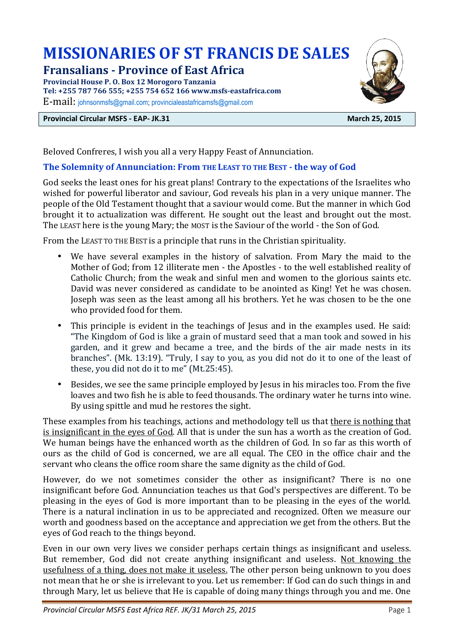# **MISSIONARIES OF ST FRANCIS DE SALES**

# **Fransalians - Province of East Africa**

**Provincial House P. O. Box 12 Morogoro Tanzania Tel: +255 787 766 555; +255 754 652 166 www.msfs-eastafrica.com** 

E-mail: johnsonmsfs@gmail.com; provincialeastafricamsfs@gmail.com

#### **Provincial Circular MSFS - EAP- JK.31 March 25, 2015**



Beloved Confreres, I wish you all a very Happy Feast of Annunciation.

### **The Solemnity of Annunciation: From THE LEAST TO THE BEST - the way of God**

God seeks the least ones for his great plans! Contrary to the expectations of the Israelites who wished for powerful liberator and saviour, God reveals his plan in a very unique manner. The people of the Old Testament thought that a saviour would come. But the manner in which God brought it to actualization was different. He sought out the least and brought out the most. The LEAST here is the young Mary; the MOST is the Saviour of the world - the Son of God.

From the LEAST TO THE BEST is a principle that runs in the Christian spirituality.

- We have several examples in the history of salvation. From Mary the maid to the Mother of God; from 12 illiterate men - the Apostles - to the well established reality of Catholic Church; from the weak and sinful men and women to the glorious saints etc. David was never considered as candidate to be anointed as King! Yet he was chosen. Joseph was seen as the least among all his brothers. Yet he was chosen to be the one who provided food for them.
- This principle is evident in the teachings of Jesus and in the examples used. He said: "The Kingdom of God is like a grain of mustard seed that a man took and sowed in his garden, and it grew and became a tree, and the birds of the air made nests in its branches". (Mk. 13:19). "Truly, I say to you, as you did not do it to one of the least of these, you did not do it to me" (Mt.25:45).
- Besides, we see the same principle employed by Jesus in his miracles too. From the five loaves and two fish he is able to feed thousands. The ordinary water he turns into wine. By using spittle and mud he restores the sight.

These examples from his teachings, actions and methodology tell us that there is nothing that is insignificant in the eyes of God. All that is under the sun has a worth as the creation of God. We human beings have the enhanced worth as the children of God. In so far as this worth of ours as the child of God is concerned, we are all equal. The CEO in the office chair and the servant who cleans the office room share the same dignity as the child of God.

However, do we not sometimes consider the other as insignificant? There is no one insignificant before God. Annunciation teaches us that God's perspectives are different. To be pleasing in the eyes of God is more important than to be pleasing in the eyes of the world. There is a natural inclination in us to be appreciated and recognized. Often we measure our worth and goodness based on the acceptance and appreciation we get from the others. But the eyes of God reach to the things beyond.

Even in our own very lives we consider perhaps certain things as insignificant and useless. But remember, God did not create anything insignificant and useless. Not knowing the usefulness of a thing, does not make it useless. The other person being unknown to you does not mean that he or she is irrelevant to you. Let us remember: If God can do such things in and through Mary, let us believe that He is capable of doing many things through you and me. One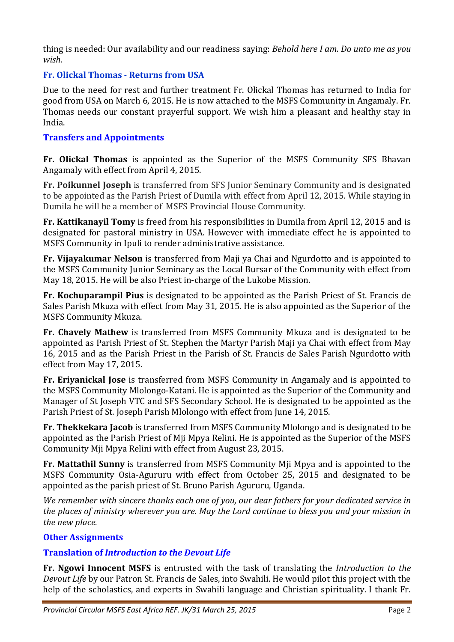thing is needed: Our availability and our readiness saying: *Behold here I am. Do unto me as you wish*.

# **Fr. Olickal Thomas - Returns from USA**

Due to the need for rest and further treatment Fr. Olickal Thomas has returned to India for good from USA on March 6, 2015. He is now attached to the MSFS Community in Angamaly. Fr. Thomas needs our constant prayerful support. We wish him a pleasant and healthy stay in India.

# **Transfers and Appointments**

**Fr. Olickal Thomas** is appointed as the Superior of the MSFS Community SFS Bhavan Angamaly with effect from April 4, 2015.

**Fr. Poikunnel Joseph** is transferred from SFS Junior Seminary Community and is designated to be appointed as the Parish Priest of Dumila with effect from April 12, 2015. While staying in Dumila he will be a member of MSFS Provincial House Community.

**Fr. Kattikanayil Tomy** is freed from his responsibilities in Dumila from April 12, 2015 and is designated for pastoral ministry in USA. However with immediate effect he is appointed to MSFS Community in Ipuli to render administrative assistance.

**Fr. Vijayakumar Nelson** is transferred from Maji ya Chai and Ngurdotto and is appointed to the MSFS Community Junior Seminary as the Local Bursar of the Community with effect from May 18, 2015. He will be also Priest in-charge of the Lukobe Mission.

**Fr. Kochuparampil Pius** is designated to be appointed as the Parish Priest of St. Francis de Sales Parish Mkuza with effect from May 31, 2015. He is also appointed as the Superior of the MSFS Community Mkuza.

**Fr. Chavely Mathew** is transferred from MSFS Community Mkuza and is designated to be appointed as Parish Priest of St. Stephen the Martyr Parish Maji ya Chai with effect from May 16, 2015 and as the Parish Priest in the Parish of St. Francis de Sales Parish Ngurdotto with effect from May 17, 2015.

**Fr. Eriyanickal Jose** is transferred from MSFS Community in Angamaly and is appointed to the MSFS Community Mlolongo-Katani. He is appointed as the Superior of the Community and Manager of St Joseph VTC and SFS Secondary School. He is designated to be appointed as the Parish Priest of St. Joseph Parish Mlolongo with effect from June 14, 2015.

**Fr. Thekkekara Jacob** is transferred from MSFS Community Mlolongo and is designated to be appointed as the Parish Priest of Mji Mpya Relini. He is appointed as the Superior of the MSFS Community Mji Mpya Relini with effect from August 23, 2015.

**Fr. Mattathil Sunny** is transferred from MSFS Community Mji Mpya and is appointed to the MSFS Community Osia-Agururu with effect from October 25, 2015 and designated to be appointed as the parish priest of St. Bruno Parish Agururu, Uganda.

*We remember with sincere thanks each one of you, our dear fathers for your dedicated service in the places of ministry wherever you are. May the Lord continue to bless you and your mission in the new place.* 

# **Other Assignments**

# **Translation of** *Introduction to the Devout Life*

**Fr. Ngowi Innocent MSFS** is entrusted with the task of translating the *Introduction to the Devout Life* by our Patron St. Francis de Sales, into Swahili. He would pilot this project with the help of the scholastics, and experts in Swahili language and Christian spirituality. I thank Fr.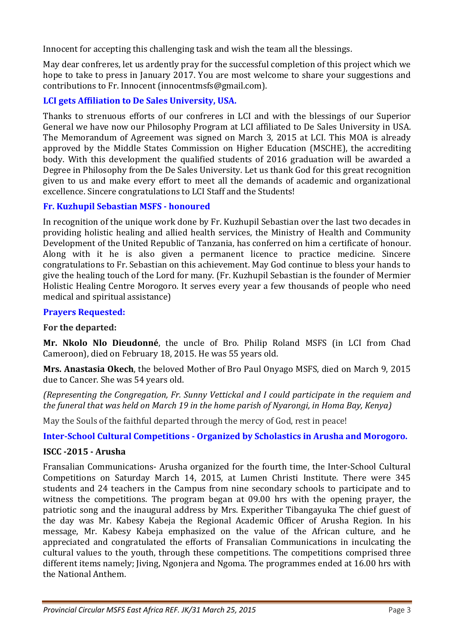Innocent for accepting this challenging task and wish the team all the blessings.

May dear confreres, let us ardently pray for the successful completion of this project which we hope to take to press in January 2017. You are most welcome to share your suggestions and contributions to Fr. Innocent (innocentmsfs@gmail.com).

# **LCI gets Affiliation to De Sales University, USA.**

Thanks to strenuous efforts of our confreres in LCI and with the blessings of our Superior General we have now our Philosophy Program at LCI affiliated to De Sales University in USA. The Memorandum of Agreement was signed on March 3, 2015 at LCI. This MOA is already approved by the Middle States Commission on Higher Education (MSCHE), the accrediting body. With this development the qualified students of 2016 graduation will be awarded a Degree in Philosophy from the De Sales University. Let us thank God for this great recognition given to us and make every effort to meet all the demands of academic and organizational excellence. Sincere congratulations to LCI Staff and the Students!

# **Fr. Kuzhupil Sebastian MSFS - honoured**

In recognition of the unique work done by Fr. Kuzhupil Sebastian over the last two decades in providing holistic healing and allied health services, the Ministry of Health and Community Development of the United Republic of Tanzania, has conferred on him a certificate of honour. Along with it he is also given a permanent licence to practice medicine. Sincere congratulations to Fr. Sebastian on this achievement. May God continue to bless your hands to give the healing touch of the Lord for many. (Fr. Kuzhupil Sebastian is the founder of Mermier Holistic Healing Centre Morogoro. It serves every year a few thousands of people who need medical and spiritual assistance)

### **Prayers Requested:**

#### **For the departed:**

**Mr. Nkolo Nlo Dieudonné**, the uncle of Bro. Philip Roland MSFS (in LCI from Chad Cameroon), died on February 18, 2015. He was 55 years old.

**Mrs. Anastasia Okech**, the beloved Mother of Bro Paul Onyago MSFS, died on March 9, 2015 due to Cancer. She was 54 years old.

*(Representing the Congregation, Fr. Sunny Vettickal and I could participate in the requiem and the funeral that was held on March 19 in the home parish of Nyarongi, in Homa Bay, Kenya)* 

May the Souls of the faithful departed through the mercy of God, rest in peace!

**Inter-School Cultural Competitions - Organized by Scholastics in Arusha and Morogoro.** 

#### **ISCC -2015 - Arusha**

Fransalian Communications- Arusha organized for the fourth time, the Inter-School Cultural Competitions on Saturday March 14, 2015, at Lumen Christi Institute. There were 345 students and 24 teachers in the Campus from nine secondary schools to participate and to witness the competitions. The program began at 09.00 hrs with the opening prayer, the patriotic song and the inaugural address by Mrs. Experither Tibangayuka The chief guest of the day was Mr. Kabesy Kabeja the Regional Academic Officer of Arusha Region. In his message, Mr. Kabesy Kabeja emphasized on the value of the African culture, and he appreciated and congratulated the efforts of Fransalian Communications in inculcating the cultural values to the youth, through these competitions. The competitions comprised three different items namely; Jiving, Ngonjera and Ngoma. The programmes ended at 16.00 hrs with the National Anthem.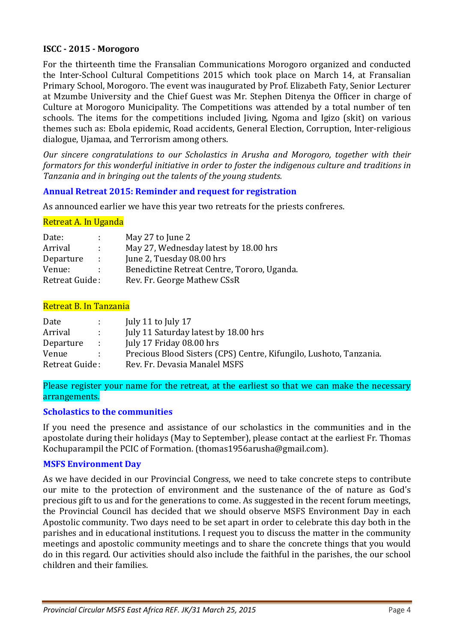#### **ISCC - 2015 - Morogoro**

For the thirteenth time the Fransalian Communications Morogoro organized and conducted the Inter-School Cultural Competitions 2015 which took place on March 14, at Fransalian Primary School, Morogoro. The event was inaugurated by Prof. Elizabeth Faty, Senior Lecturer at Mzumbe University and the Chief Guest was Mr. Stephen Ditenya the Officer in charge of Culture at Morogoro Municipality. The Competitions was attended by a total number of ten schools. The items for the competitions included Jiving, Ngoma and Igizo (skit) on various themes such as: Ebola epidemic, Road accidents, General Election, Corruption, Inter-religious dialogue, Ujamaa, and Terrorism among others.

*Our sincere congratulations to our Scholastics in Arusha and Morogoro, together with their formators for this wonderful initiative in order to foster the indigenous culture and traditions in Tanzania and in bringing out the talents of the young students.* 

# **Annual Retreat 2015: Reminder and request for registration**

As announced earlier we have this year two retreats for the priests confreres.

### Retreat A. In Uganda

| Date:          | di l          | May 27 to June 2                            |
|----------------|---------------|---------------------------------------------|
| Arrival        | di s          | May 27, Wednesday latest by 18.00 hrs       |
| Departure      | $\mathcal{L}$ | June 2, Tuesday 08.00 hrs                   |
| Venue:         |               | Benedictine Retreat Centre, Tororo, Uganda. |
| Retreat Guide: |               | Rev. Fr. George Mathew CSsR                 |

#### Retreat B. In Tanzania

| Date           | A.              | July 11 to July 17                                                 |
|----------------|-----------------|--------------------------------------------------------------------|
| Arrival        | 12 L            | July 11 Saturday latest by 18.00 hrs                               |
| Departure      | <b>Contract</b> | July 17 Friday 08.00 hrs                                           |
| Venue          |                 | Precious Blood Sisters (CPS) Centre, Kifungilo, Lushoto, Tanzania. |
| Retreat Guide: |                 | Rev. Fr. Devasia Manalel MSFS                                      |

Please register your name for the retreat, at the earliest so that we can make the necessary arrangements.

#### **Scholastics to the communities**

If you need the presence and assistance of our scholastics in the communities and in the apostolate during their holidays (May to September), please contact at the earliest Fr. Thomas Kochuparampil the PCIC of Formation. (thomas1956arusha@gmail.com).

#### **MSFS Environment Day**

As we have decided in our Provincial Congress, we need to take concrete steps to contribute our mite to the protection of environment and the sustenance of the of nature as God's precious gift to us and for the generations to come. As suggested in the recent forum meetings, the Provincial Council has decided that we should observe MSFS Environment Day in each Apostolic community. Two days need to be set apart in order to celebrate this day both in the parishes and in educational institutions. I request you to discuss the matter in the community meetings and apostolic community meetings and to share the concrete things that you would do in this regard. Our activities should also include the faithful in the parishes, the our school children and their families.